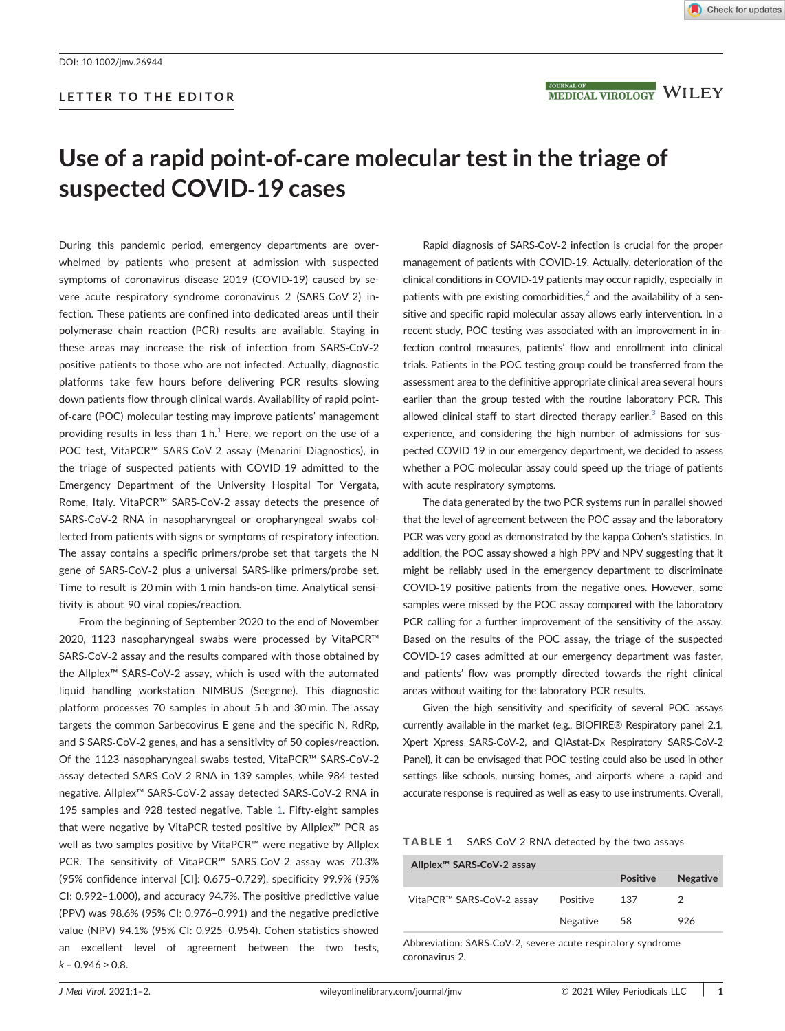## LETTER TO THE EDITOR



MEDICAL VIROLOGY WILEY

# Use of a rapid point‐of‐care molecular test in the triage of suspected COVID‐19 cases

During this pandemic period, emergency departments are overwhelmed by patients who present at admission with suspected symptoms of coronavirus disease 2019 (COVID‐19) caused by severe acute respiratory syndrome coronavirus 2 (SARS‐CoV‐2) infection. These patients are confined into dedicated areas until their polymerase chain reaction (PCR) results are available. Staying in these areas may increase the risk of infection from SARS‐CoV‐2 positive patients to those who are not infected. Actually, diagnostic platforms take few hours before delivering PCR results slowing down patients flow through clinical wards. Availability of rapid point‐ of-care (POC) molecular testing may improve patients' management providing results in less than  $1 h<sup>1</sup>$  $1 h<sup>1</sup>$  Here, we report on the use of a POC test, VitaPCR™ SARS‐CoV‐2 assay (Menarini Diagnostics), in the triage of suspected patients with COVID‐19 admitted to the Emergency Department of the University Hospital Tor Vergata, Rome, Italy. VitaPCR™ SARS‐CoV‐2 assay detects the presence of SARS‐CoV‐2 RNA in nasopharyngeal or oropharyngeal swabs collected from patients with signs or symptoms of respiratory infection. The assay contains a specific primers/probe set that targets the N gene of SARS‐CoV‐2 plus a universal SARS‐like primers/probe set. Time to result is 20 min with 1 min hands‐on time. Analytical sensitivity is about 90 viral copies/reaction.

From the beginning of September 2020 to the end of November 2020, 1123 nasopharyngeal swabs were processed by VitaPCR™ SARS‐CoV‐2 assay and the results compared with those obtained by the Allplex™ SARS‐CoV‐2 assay, which is used with the automated liquid handling workstation NIMBUS (Seegene). This diagnostic platform processes 70 samples in about 5 h and 30 min. The assay targets the common Sarbecovirus E gene and the specific N, RdRp, and S SARS‐CoV‐2 genes, and has a sensitivity of 50 copies/reaction. Of the 1123 nasopharyngeal swabs tested, VitaPCR™ SARS‐CoV‐2 assay detected SARS‐CoV‐2 RNA in 139 samples, while 984 tested negative. Allplex™ SARS‐CoV‐2 assay detected SARS‐CoV‐2 RNA in 195 samples and 928 tested negative, Table [1](#page-0-0). Fifty‐eight samples that were negative by VitaPCR tested positive by Allplex™ PCR as well as two samples positive by VitaPCR™ were negative by Allplex PCR. The sensitivity of VitaPCR™ SARS‐CoV‐2 assay was 70.3% (95% confidence interval [CI]: 0.675–0.729), specificity 99.9% (95% CI: 0.992–1.000), and accuracy 94.7%. The positive predictive value (PPV) was 98.6% (95% CI: 0.976–0.991) and the negative predictive value (NPV) 94.1% (95% CI: 0.925–0.954). Cohen statistics showed an excellent level of agreement between the two tests,  $k = 0.946 > 0.8$ .

Rapid diagnosis of SARS‐CoV‐2 infection is crucial for the proper management of patients with COVID‐19. Actually, deterioration of the clinical conditions in COVID‐19 patients may occur rapidly, especially in patients with pre-existing comorbidities, $<sup>2</sup>$  and the availability of a sen-</sup> sitive and specific rapid molecular assay allows early intervention. In a recent study, POC testing was associated with an improvement in infection control measures, patients' flow and enrollment into clinical trials. Patients in the POC testing group could be transferred from the assessment area to the definitive appropriate clinical area several hours earlier than the group tested with the routine laboratory PCR. This allowed clinical staff to start directed therapy earlier. $3$  Based on this experience, and considering the high number of admissions for suspected COVID‐19 in our emergency department, we decided to assess whether a POC molecular assay could speed up the triage of patients with acute respiratory symptoms.

The data generated by the two PCR systems run in parallel showed that the level of agreement between the POC assay and the laboratory PCR was very good as demonstrated by the kappa Cohen's statistics. In addition, the POC assay showed a high PPV and NPV suggesting that it might be reliably used in the emergency department to discriminate COVID‐19 positive patients from the negative ones. However, some samples were missed by the POC assay compared with the laboratory PCR calling for a further improvement of the sensitivity of the assay. Based on the results of the POC assay, the triage of the suspected COVID‐19 cases admitted at our emergency department was faster, and patients' flow was promptly directed towards the right clinical areas without waiting for the laboratory PCR results.

Given the high sensitivity and specificity of several POC assays currently available in the market (e.g., BIOFIRE® Respiratory panel 2.1, Xpert Xpress SARS‐CoV‐2, and QIAstat‐Dx Respiratory SARS‐CoV‐2 Panel), it can be envisaged that POC testing could also be used in other settings like schools, nursing homes, and airports where a rapid and accurate response is required as well as easy to use instruments. Overall,

#### <span id="page-0-0"></span>TABLE 1 SARS-CoV-2 RNA detected by the two assays

| Allplex <sup>™</sup> SARS-CoV-2 assay |          |                 |                 |
|---------------------------------------|----------|-----------------|-----------------|
|                                       |          | <b>Positive</b> | <b>Negative</b> |
| VitaPCR™ SARS-CoV-2 assay             | Positive | 137             |                 |
|                                       | Negative | 58              | 926             |

Abbreviation: SARS‐CoV‐2, severe acute respiratory syndrome coronavirus 2.